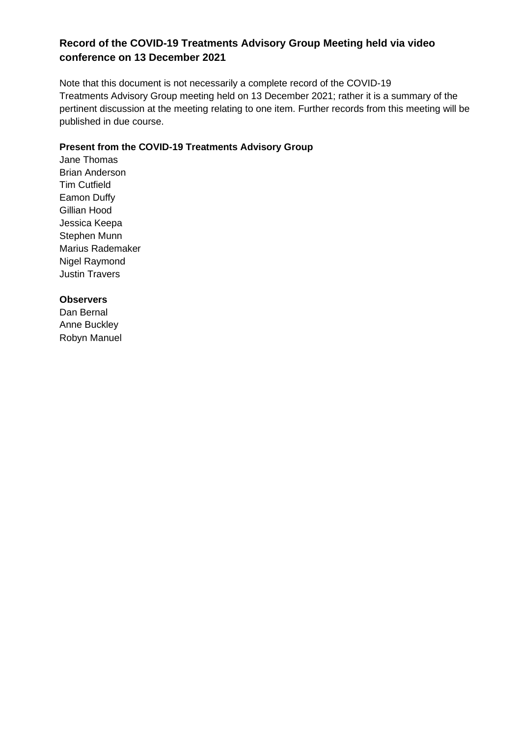# **Record of the COVID-19 Treatments Advisory Group Meeting held via video conference on 13 December 2021**

Note that this document is not necessarily a complete record of the COVID-19 Treatments Advisory Group meeting held on 13 December 2021; rather it is a summary of the pertinent discussion at the meeting relating to one item. Further records from this meeting will be published in due course.

# **Present from the COVID-19 Treatments Advisory Group**

Jane Thomas Brian Anderson Tim Cutfield Eamon Duffy Gillian Hood Jessica Keepa Stephen Munn Marius Rademaker Nigel Raymond Justin Travers

### **Observers**

Dan Bernal Anne Buckley Robyn Manuel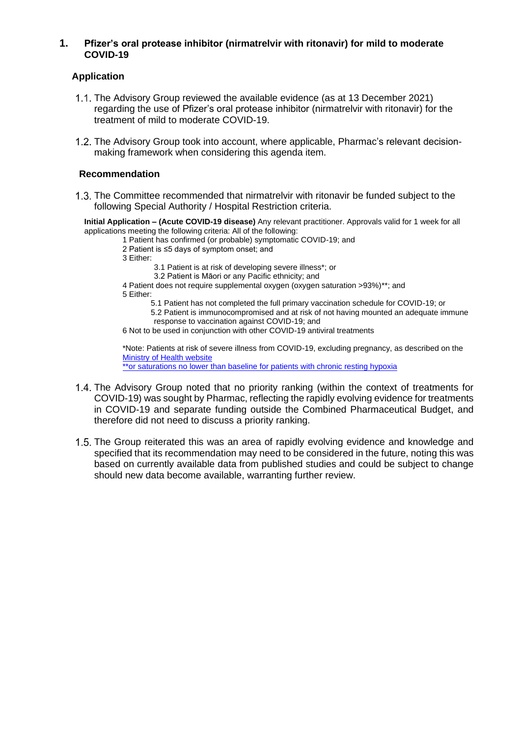### **1. Pfizer's oral protease inhibitor (nirmatrelvir with ritonavir) for mild to moderate COVID-19**

# **Application**

- The Advisory Group reviewed the available evidence (as at 13 December 2021) regarding the use of Pfizer's oral protease inhibitor (nirmatrelvir with ritonavir) for the treatment of mild to moderate COVID-19.
- 1.2. The Advisory Group took into account, where applicable, Pharmac's relevant decisionmaking framework when considering this agenda item.

#### **Recommendation**

1.3. The Committee recommended that nirmatrelvir with ritonavir be funded subject to the following Special Authority / Hospital Restriction criteria.

**Initial Application – (Acute COVID-19 disease)** Any relevant practitioner. Approvals valid for 1 week for all applications meeting the following criteria: All of the following:

- 1 Patient has confirmed (or probable) symptomatic COVID-19; and
	- 2 Patient is ≤5 days of symptom onset; and
	- 3 Either:
		- 3.1 Patient is at risk of developing severe illness\*; or
		- 3.2 Patient is Māori or any Pacific ethnicity; and
	- 4 Patient does not require supplemental oxygen (oxygen saturation >93%)\*\*; and 5 Either:
		- 5.1 Patient has not completed the full primary vaccination schedule for COVID-19; or
		- 5.2 Patient is immunocompromised and at risk of not having mounted an adequate immune response to vaccination against COVID-19; and
	- 6 Not to be used in conjunction with other COVID-19 antiviral treatments

\*Note: Patients at risk of severe illness from COVID-19, excluding pregnancy, as described on the [Ministry of Health website](https://www.health.govt.nz/our-work/diseases-and-conditions/covid-19-novel-coronavirus/covid-19-information-specific-audiences/covid-19-advice-higher-risk-people)

\*\*or saturations no lower than baseline for patients with chronic resting hypoxia

- 1.4. The Advisory Group noted that no priority ranking (within the context of treatments for COVID-19) was sought by Pharmac, reflecting the rapidly evolving evidence for treatments in COVID-19 and separate funding outside the Combined Pharmaceutical Budget, and therefore did not need to discuss a priority ranking.
- 1.5. The Group reiterated this was an area of rapidly evolving evidence and knowledge and specified that its recommendation may need to be considered in the future, noting this was based on currently available data from published studies and could be subject to change should new data become available, warranting further review.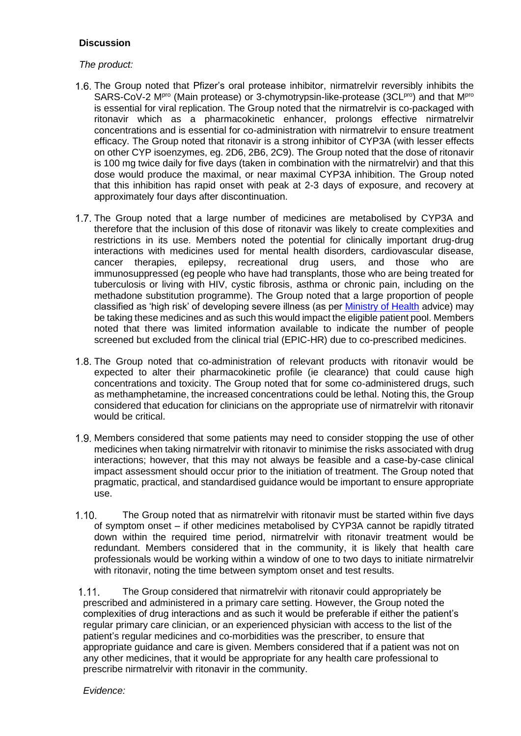# **Discussion**

## *The product:*

- 1.6. The Group noted that Pfizer's oral protease inhibitor, nirmatrelvir reversibly inhibits the SARS-CoV-2 M<sup>pro</sup> (Main protease) or 3-chymotrypsin-like-protease (3CL<sup>pro</sup>) and that M<sup>pro</sup> is essential for viral replication. The Group noted that the nirmatrelvir is co-packaged with ritonavir which as a pharmacokinetic enhancer, prolongs effective nirmatrelvir concentrations and is essential for co-administration with nirmatrelvir to ensure treatment efficacy. The Group noted that ritonavir is a strong inhibitor of CYP3A (with lesser effects on other CYP isoenzymes, eg. 2D6, 2B6, 2C9). The Group noted that the dose of ritonavir is 100 mg twice daily for five days (taken in combination with the nirmatrelvir) and that this dose would produce the maximal, or near maximal CYP3A inhibition. The Group noted that this inhibition has rapid onset with peak at 2-3 days of exposure, and recovery at approximately four days after discontinuation.
- 1.7. The Group noted that a large number of medicines are metabolised by CYP3A and therefore that the inclusion of this dose of ritonavir was likely to create complexities and restrictions in its use. Members noted the potential for clinically important drug-drug interactions with medicines used for mental health disorders, cardiovascular disease, cancer therapies, epilepsy, recreational drug users, and those who are immunosuppressed (eg people who have had transplants, those who are being treated for tuberculosis or living with HIV, cystic fibrosis, asthma or chronic pain, including on the methadone substitution programme). The Group noted that a large proportion of people classified as 'high risk' of developing severe illness (as per [Ministry of Health](https://www.health.govt.nz/our-work/diseases-and-conditions/covid-19-novel-coronavirus/covid-19-information-specific-audiences/covid-19-higher-risk-people) advice) may be taking these medicines and as such this would impact the eligible patient pool. Members noted that there was limited information available to indicate the number of people screened but excluded from the clinical trial (EPIC-HR) due to co-prescribed medicines.
- The Group noted that co-administration of relevant products with ritonavir would be expected to alter their pharmacokinetic profile (ie clearance) that could cause high concentrations and toxicity. The Group noted that for some co-administered drugs, such as methamphetamine, the increased concentrations could be lethal. Noting this, the Group considered that education for clinicians on the appropriate use of nirmatrelvir with ritonavir would be critical.
- 1.9. Members considered that some patients may need to consider stopping the use of other medicines when taking nirmatrelvir with ritonavir to minimise the risks associated with drug interactions; however, that this may not always be feasible and a case-by-case clinical impact assessment should occur prior to the initiation of treatment. The Group noted that pragmatic, practical, and standardised guidance would be important to ensure appropriate use.
- $1.10.$ The Group noted that as nirmatrelvir with ritonavir must be started within five days of symptom onset – if other medicines metabolised by CYP3A cannot be rapidly titrated down within the required time period, nirmatrelvir with ritonavir treatment would be redundant. Members considered that in the community, it is likely that health care professionals would be working within a window of one to two days to initiate nirmatrelvir with ritonavir, noting the time between symptom onset and test results.

 $1.11.$ The Group considered that nirmatrelvir with ritonavir could appropriately be prescribed and administered in a primary care setting. However, the Group noted the complexities of drug interactions and as such it would be preferable if either the patient's regular primary care clinician, or an experienced physician with access to the list of the patient's regular medicines and co-morbidities was the prescriber, to ensure that appropriate guidance and care is given. Members considered that if a patient was not on any other medicines, that it would be appropriate for any health care professional to prescribe nirmatrelvir with ritonavir in the community.

*Evidence:*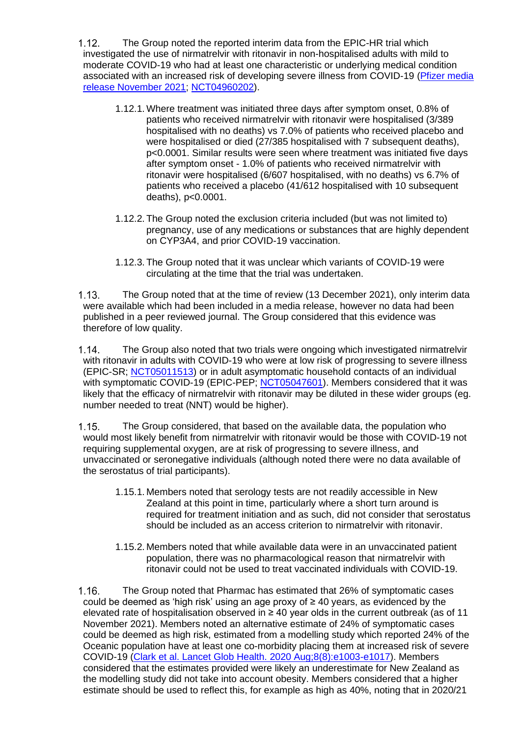$1.12.$ The Group noted the reported interim data from the EPIC-HR trial which investigated the use of nirmatrelvir with ritonavir in non-hospitalised adults with mild to moderate COVID-19 who had at least one characteristic or underlying medical condition associated with an increased risk of developing severe illness from COVID-19 [\(Pfizer media](https://www.pfizer.com/news/press-release/press-release-detail/pfizers-novel-covid-19-oral-antiviral-treatment-candidate)  [release November](https://www.pfizer.com/news/press-release/press-release-detail/pfizers-novel-covid-19-oral-antiviral-treatment-candidate) 2021; [NCT04960202\)](https://clinicaltrials.gov/ct2/show/NCT04960202?term=pfizer&cond=sars&draw=3).

- 1.12.1. Where treatment was initiated three days after symptom onset, 0.8% of patients who received nirmatrelvir with ritonavir were hospitalised (3/389 hospitalised with no deaths) vs 7.0% of patients who received placebo and were hospitalised or died (27/385 hospitalised with 7 subsequent deaths), p<0.0001. Similar results were seen where treatment was initiated five days after symptom onset - 1.0% of patients who received nirmatrelvir with ritonavir were hospitalised (6/607 hospitalised, with no deaths) vs 6.7% of patients who received a placebo (41/612 hospitalised with 10 subsequent deaths), p<0.0001.
- 1.12.2. The Group noted the exclusion criteria included (but was not limited to) pregnancy, use of any medications or substances that are highly dependent on CYP3A4, and prior COVID-19 vaccination.
- 1.12.3. The Group noted that it was unclear which variants of COVID-19 were circulating at the time that the trial was undertaken.

 $1.13$ The Group noted that at the time of review (13 December 2021), only interim data were available which had been included in a media release, however no data had been published in a peer reviewed journal. The Group considered that this evidence was therefore of low quality.

 $1.14.$ The Group also noted that two trials were ongoing which investigated nirmatrelvir with ritonavir in adults with COVID-19 who were at low risk of progressing to severe illness (EPIC-SR; [NCT05011513\)](https://clinicaltrials.gov/ct2/show/NCT05011513) or in adult asymptomatic household contacts of an individual with symptomatic COVID-19 (EPIC-PEP; [NCT05047601\)](https://clinicaltrials.gov/ct2/show/NCT05047601?term=EPIC&cond=sars&draw=2&rank=9). Members considered that it was likely that the efficacy of nirmatrelvir with ritonavir may be diluted in these wider groups (eg. number needed to treat (NNT) would be higher).

 $1.15.$ The Group considered, that based on the available data, the population who would most likely benefit from nirmatrelvir with ritonavir would be those with COVID-19 not requiring supplemental oxygen, are at risk of progressing to severe illness, and unvaccinated or seronegative individuals (although noted there were no data available of the serostatus of trial participants).

- 1.15.1. Members noted that serology tests are not readily accessible in New Zealand at this point in time, particularly where a short turn around is required for treatment initiation and as such, did not consider that serostatus should be included as an access criterion to nirmatrelvir with ritonavir.
- 1.15.2. Members noted that while available data were in an unvaccinated patient population, there was no pharmacological reason that nirmatrelvir with ritonavir could not be used to treat vaccinated individuals with COVID-19.

The Group noted that Pharmac has estimated that 26% of symptomatic cases  $1.16.$ could be deemed as 'high risk' using an age proxy of ≥ 40 years, as evidenced by the elevated rate of hospitalisation observed in  $\geq$  40 year olds in the current outbreak (as of 11 November 2021). Members noted an alternative estimate of 24% of symptomatic cases could be deemed as high risk, estimated from a modelling study which reported 24% of the Oceanic population have at least one co-morbidity placing them at increased risk of severe COVID-19 [\(Clark et al. Lancet Glob Health. 2020 Aug;8\(8\):e1003-e1017\)](https://pubmed.ncbi.nlm.nih.gov/32553130/). Members considered that the estimates provided were likely an underestimate for New Zealand as the modelling study did not take into account obesity. Members considered that a higher estimate should be used to reflect this, for example as high as 40%, noting that in 2020/21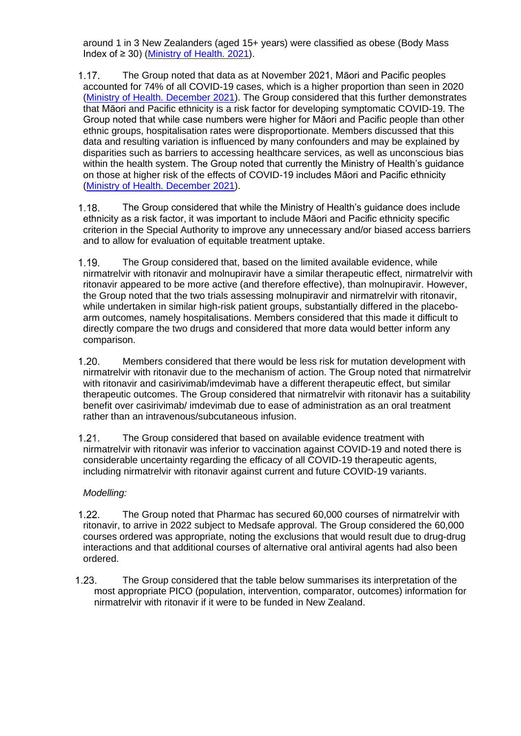around 1 in 3 New Zealanders (aged 15+ years) were classified as obese (Body Mass Index of  $\geq$  30) [\(Ministry of Health. 2021\)](https://www.health.govt.nz/nz-health-statistics/health-statistics-and-data-sets/obesity-statistics#:~:text=The%20New%20Zealand%20Health%20Survey,from%2031.2%25%20in%202019%2F20).

The Group noted that data as at November 2021, Māori and Pacific peoples  $1.17.$ accounted for 74% of all COVID-19 cases, which is a higher proportion than seen in 2020 (Ministry [of Health. December 2021\)](https://www.health.govt.nz/our-work/diseases-and-conditions/covid-19-novel-coronavirus/covid-19-data-and-statistics/covid-19-case-demographics). The Group considered that this further demonstrates that Māori and Pacific ethnicity is a risk factor for developing symptomatic COVID-19. The Group noted that while case numbers were higher for Māori and Pacific people than other ethnic groups, hospitalisation rates were disproportionate. Members discussed that this data and resulting variation is influenced by many confounders and may be explained by disparities such as barriers to accessing healthcare services, as well as unconscious bias within the health system. The Group noted that currently the Ministry of Health's guidance on those at higher risk of the effects of COVID-19 includes Māori and Pacific ethnicity [\(Ministry of Health.](https://www.health.govt.nz/our-work/diseases-and-conditions/covid-19-novel-coronavirus/covid-19-information-specific-audiences/covid-19-higher-risk-people) December 2021).

 $1.18.$ The Group considered that while the Ministry of Health's guidance does include ethnicity as a risk factor, it was important to include Māori and Pacific ethnicity specific criterion in the Special Authority to improve any unnecessary and/or biased access barriers and to allow for evaluation of equitable treatment uptake.

The Group considered that, based on the limited available evidence, while  $1.19.$ nirmatrelvir with ritonavir and molnupiravir have a similar therapeutic effect, nirmatrelvir with ritonavir appeared to be more active (and therefore effective), than molnupiravir. However, the Group noted that the two trials assessing molnupiravir and nirmatrelvir with ritonavir, while undertaken in similar high-risk patient groups, substantially differed in the placeboarm outcomes, namely hospitalisations. Members considered that this made it difficult to directly compare the two drugs and considered that more data would better inform any comparison.

 $120 -$ Members considered that there would be less risk for mutation development with nirmatrelvir with ritonavir due to the mechanism of action. The Group noted that nirmatrelvir with ritonavir and casirivimab/imdevimab have a different therapeutic effect, but similar therapeutic outcomes. The Group considered that nirmatrelvir with ritonavir has a suitability benefit over casirivimab/ imdevimab due to ease of administration as an oral treatment rather than an intravenous/subcutaneous infusion.

 $1.21.$ The Group considered that based on available evidence treatment with nirmatrelvir with ritonavir was inferior to vaccination against COVID-19 and noted there is considerable uncertainty regarding the efficacy of all COVID-19 therapeutic agents, including nirmatrelvir with ritonavir against current and future COVID-19 variants.

### *Modelling:*

- $1.22.$ The Group noted that Pharmac has secured 60,000 courses of nirmatrelvir with ritonavir, to arrive in 2022 subject to Medsafe approval. The Group considered the 60,000 courses ordered was appropriate, noting the exclusions that would result due to drug-drug interactions and that additional courses of alternative oral antiviral agents had also been ordered.
- $1.23.$ The Group considered that the table below summarises its interpretation of the most appropriate PICO (population, intervention, comparator, outcomes) information for nirmatrelvir with ritonavir if it were to be funded in New Zealand.